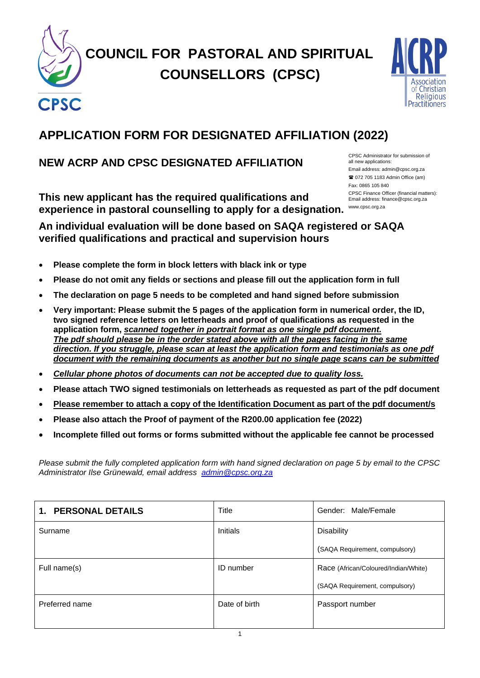

# **COUNCIL FOR PASTORAL AND SPIRITUAL COUNSELLORS (CPSC)**



# **APPLICATION FORM FOR DESIGNATED AFFILIATION (2022)**

### **NEW ACRP AND CPSC DESIGNATED AFFILIATION**

**This new applicant has the required qualifications and experience in pastoral counselling to apply for a designation.**  www.cpsc.org.za

CPSC Administrator for submission of all new applications: Email address: admin@cpsc.org.za 072 705 1183 Admin Office (am) Fax: 0865 105 840 CPSC Finance Officer (financial matters): Email address: finance@cpsc.org.za

### **An individual evaluation will be done based on SAQA registered or SAQA verified qualifications and practical and supervision hours**

- **Please complete the form in block letters with black ink or type**
- **Please do not omit any fields or sections and please fill out the application form in full**
- **The declaration on page 5 needs to be completed and hand signed before submission**
- **Very important: Please submit the 5 pages of the application form in numerical order, the ID, two signed reference letters on letterheads and proof of qualifications as requested in the application form,** *scanned together in portrait format as one single pdf document. The pdf should please be in the order stated above with all the pages facing in the same direction. If you struggle, please scan at least the application form and testimonials as one pdf document with the remaining documents as another but no single page scans can be submitted*
- *Cellular phone photos of documents can not be accepted due to quality loss.*
- **Please attach TWO signed testimonials on letterheads as requested as part of the pdf document**
- **Please remember to attach a copy of the Identification Document as part of the pdf document/s**
- **Please also attach the Proof of payment of the R200.00 application fee (2022)**
- **Incomplete filled out forms or forms submitted without the applicable fee cannot be processed**

*Please submit the fully completed application form with hand signed declaration on page 5 by email to the CPSC Administrator Ilse Grünewald, email address [admin@cpsc.org.za](mailto:admin@cpsc.org.za)*

| <b>PERSONAL DETAILS</b><br>1. | Title         | Gender: Male/Female                  |
|-------------------------------|---------------|--------------------------------------|
| Surname                       | Initials      | <b>Disability</b>                    |
|                               |               | (SAQA Requirement, compulsory)       |
| Full name(s)                  | ID number     | Race (African/Coloured/Indian/White) |
|                               |               | (SAQA Requirement, compulsory)       |
| Preferred name                | Date of birth | Passport number                      |
|                               |               |                                      |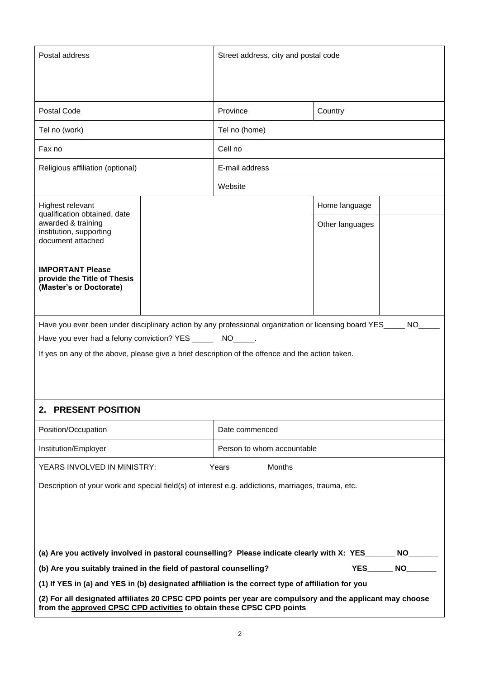| Postal address                                                                                                                                                                     |  | Street address, city and postal code |                 |                  |
|------------------------------------------------------------------------------------------------------------------------------------------------------------------------------------|--|--------------------------------------|-----------------|------------------|
|                                                                                                                                                                                    |  |                                      |                 |                  |
| Postal Code                                                                                                                                                                        |  | Province                             | Country         |                  |
| Tel no (work)                                                                                                                                                                      |  | Tel no (home)                        |                 |                  |
| Fax no                                                                                                                                                                             |  | Cell no                              |                 |                  |
| Religious affiliation (optional)                                                                                                                                                   |  | E-mail address                       |                 |                  |
|                                                                                                                                                                                    |  | Website                              |                 |                  |
| Highest relevant<br>qualification obtained, date                                                                                                                                   |  |                                      | Home language   |                  |
| awarded & training<br>institution, supporting<br>document attached                                                                                                                 |  |                                      | Other languages |                  |
| <b>IMPORTANT Please</b><br>provide the Title of Thesis<br>(Master's or Doctorate)                                                                                                  |  |                                      |                 |                  |
| Have you ever been under disciplinary action by any professional organization or licensing board YES_                                                                              |  |                                      |                 | NO               |
| Have you ever had a felony conviction? YES ________ NO______                                                                                                                       |  |                                      |                 |                  |
| If yes on any of the above, please give a brief description of the offence and the action taken.                                                                                   |  |                                      |                 |                  |
|                                                                                                                                                                                    |  |                                      |                 |                  |
|                                                                                                                                                                                    |  |                                      |                 |                  |
| 2. PRESENT POSITION                                                                                                                                                                |  |                                      |                 |                  |
| Position/Occupation                                                                                                                                                                |  | Date commenced                       |                 |                  |
| Institution/Employer                                                                                                                                                               |  | Person to whom accountable           |                 |                  |
| YEARS INVOLVED IN MINISTRY:                                                                                                                                                        |  | Years<br>Months                      |                 |                  |
| Description of your work and special field(s) of interest e.g. addictions, marriages, trauma, etc.                                                                                 |  |                                      |                 |                  |
|                                                                                                                                                                                    |  |                                      |                 |                  |
|                                                                                                                                                                                    |  |                                      |                 |                  |
|                                                                                                                                                                                    |  |                                      |                 |                  |
| (a) Are you actively involved in pastoral counselling? Please indicate clearly with X: YES_<br>(b) Are you suitably trained in the field of pastoral counselling?                  |  |                                      | <b>YES</b>      | NO.<br><b>NO</b> |
| (1) If YES in (a) and YES in (b) designated affiliation is the correct type of affiliation for you                                                                                 |  |                                      |                 |                  |
| (2) For all designated affiliates 20 CPSC CPD points per year are compulsory and the applicant may choose<br>from the approved CPSC CPD activities to obtain these CPSC CPD points |  |                                      |                 |                  |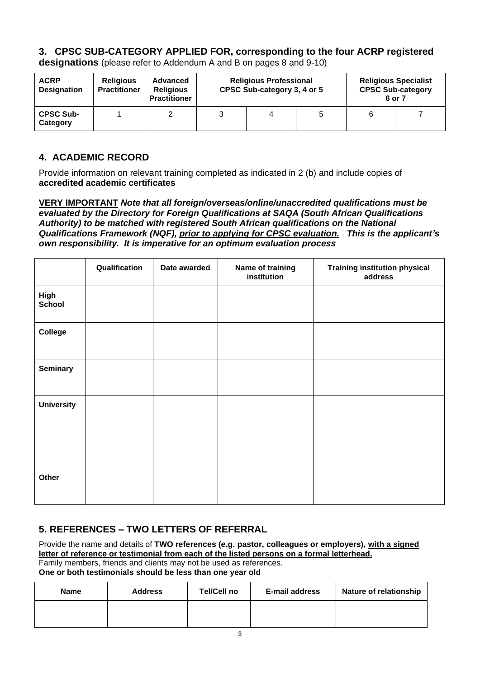### **3. CPSC SUB-CATEGORY APPLIED FOR, corresponding to the four ACRP registered**

| <b>ACRP</b><br><b>Designation</b> | <b>Religious</b><br><b>Practitioner</b> | <b>Advanced</b><br><b>Religious</b><br><b>Practitioner</b> | <b>Religious Professional</b><br>CPSC Sub-category 3, 4 or 5 |   | <b>Religious Specialist</b><br><b>CPSC Sub-category</b><br>6 or 7 |  |
|-----------------------------------|-----------------------------------------|------------------------------------------------------------|--------------------------------------------------------------|---|-------------------------------------------------------------------|--|
| <b>CPSC Sub-</b><br>Category      |                                         |                                                            |                                                              | 5 |                                                                   |  |

**designations** (please refer to Addendum A and B on pages 8 and 9-10)

#### **4. ACADEMIC RECORD**

Provide information on relevant training completed as indicated in 2 (b) and include copies of **accredited academic certificates**

**VERY IMPORTANT** *Note that all foreign/overseas/online/unaccredited qualifications must be evaluated by the Directory for Foreign Qualifications at SAQA (South African Qualifications Authority) to be matched with registered South African qualifications on the National Qualifications Framework (NQF), prior to applying for CPSC evaluation. This is the applicant's own responsibility. It is imperative for an optimum evaluation process*

|                   | Qualification | Date awarded | Name of training<br>institution | <b>Training institution physical</b><br>address |
|-------------------|---------------|--------------|---------------------------------|-------------------------------------------------|
| High<br>School    |               |              |                                 |                                                 |
| <b>College</b>    |               |              |                                 |                                                 |
| <b>Seminary</b>   |               |              |                                 |                                                 |
| <b>University</b> |               |              |                                 |                                                 |
| Other             |               |              |                                 |                                                 |

### **5. REFERENCES – TWO LETTERS OF REFERRAL**

Provide the name and details of **TWO references (e.g. pastor, colleagues or employers), with a signed letter of reference or testimonial from each of the listed persons on a formal letterhead.**  Family members, friends and clients may not be used as references.

**One or both testimonials should be less than one year old**

| <b>Name</b> | <b>Address</b> | Tel/Cell no | <b>E-mail address</b> | <b>Nature of relationship</b> |
|-------------|----------------|-------------|-----------------------|-------------------------------|
|             |                |             |                       |                               |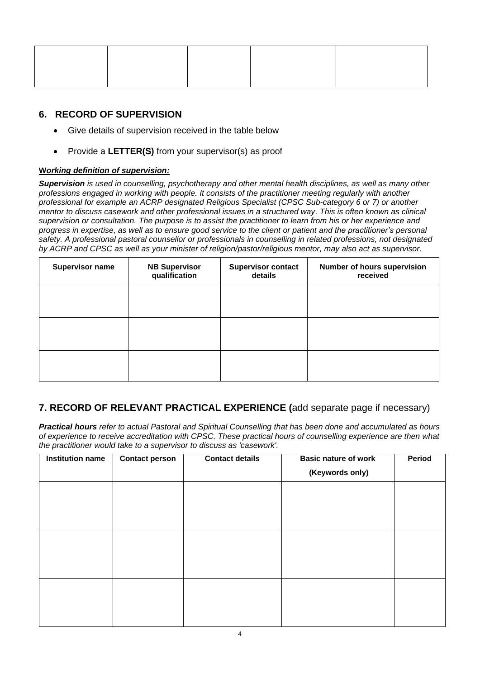### **6. RECORD OF SUPERVISION**

- Give details of supervision received in the table below
- Provide a **LETTER(S)** from your supervisor(s) as proof

#### **W***orking definition of supervision:*

*Supervision is used in counselling, psychotherapy and other mental health disciplines, as well as many other professions engaged in working with people. It consists of the practitioner meeting regularly with another professional for example an ACRP designated Religious Specialist (CPSC Sub-category 6 or 7) or another mentor to discuss casework and other professional issues in a structured way. This is often known as clinical supervision or consultation. The purpose is to assist the practitioner to learn from his or her experience and progress in expertise, as well as to ensure good service to the client or patient and the practitioner's personal safety. A professional pastoral counsellor or professionals in counselling in related professions, not designated by ACRP and CPSC as well as your minister of religion/pastor/religious mentor, may also act as supervisor.*

| <b>Supervisor name</b> | <b>NB Supervisor</b><br>qualification | <b>Supervisor contact</b><br>details | Number of hours supervision<br>received |
|------------------------|---------------------------------------|--------------------------------------|-----------------------------------------|
|                        |                                       |                                      |                                         |
|                        |                                       |                                      |                                         |
|                        |                                       |                                      |                                         |

### **7. RECORD OF RELEVANT PRACTICAL EXPERIENCE (**add separate page if necessary)

*Practical hours refer to actual Pastoral and Spiritual Counselling that has been done and accumulated as hours of experience to receive accreditation with CPSC. These practical hours of counselling experience are then what the practitioner would take to a supervisor to discuss as 'casework'.*

| <b>Institution name</b> | <b>Contact person</b> | <b>Contact details</b> | <b>Basic nature of work</b><br>(Keywords only) | Period |
|-------------------------|-----------------------|------------------------|------------------------------------------------|--------|
|                         |                       |                        |                                                |        |
|                         |                       |                        |                                                |        |
|                         |                       |                        |                                                |        |
|                         |                       |                        |                                                |        |
|                         |                       |                        |                                                |        |
|                         |                       |                        |                                                |        |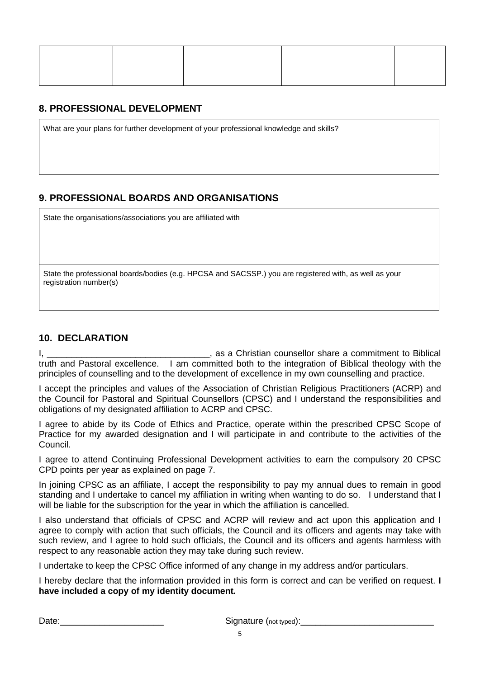#### **8. PROFESSIONAL DEVELOPMENT**

What are your plans for further development of your professional knowledge and skills?

### **9. PROFESSIONAL BOARDS AND ORGANISATIONS**

State the organisations/associations you are affiliated with

State the professional boards/bodies (e.g. HPCSA and SACSSP.) you are registered with, as well as your registration number(s)

### **10. DECLARATION**

I, \_\_\_\_\_\_\_\_\_\_\_\_\_\_\_\_\_\_\_\_\_\_\_\_\_\_\_\_\_\_\_\_\_, as a Christian counsellor share a commitment to Biblical truth and Pastoral excellence. I am committed both to the integration of Biblical theology with the principles of counselling and to the development of excellence in my own counselling and practice.

I accept the principles and values of the Association of Christian Religious Practitioners (ACRP) and the Council for Pastoral and Spiritual Counsellors (CPSC) and I understand the responsibilities and obligations of my designated affiliation to ACRP and CPSC.

I agree to abide by its Code of Ethics and Practice, operate within the prescribed CPSC Scope of Practice for my awarded designation and I will participate in and contribute to the activities of the Council.

I agree to attend Continuing Professional Development activities to earn the compulsory 20 CPSC CPD points per year as explained on page 7.

In joining CPSC as an affiliate, I accept the responsibility to pay my annual dues to remain in good standing and I undertake to cancel my affiliation in writing when wanting to do so. I understand that I will be liable for the subscription for the year in which the affiliation is cancelled.

I also understand that officials of CPSC and ACRP will review and act upon this application and I agree to comply with action that such officials, the Council and its officers and agents may take with such review, and I agree to hold such officials, the Council and its officers and agents harmless with respect to any reasonable action they may take during such review.

I undertake to keep the CPSC Office informed of any change in my address and/or particulars.

I hereby declare that the information provided in this form is correct and can be verified on request. **I have included a copy of my identity document***.*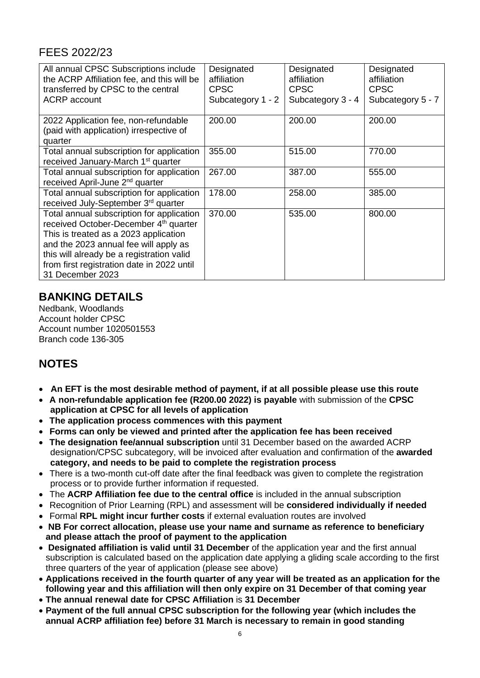### FEES 2022/23

| All annual CPSC Subscriptions include<br>the ACRP Affiliation fee, and this will be<br>transferred by CPSC to the central<br><b>ACRP</b> account                                                                                                                                                | Designated<br>affiliation<br><b>CPSC</b><br>Subcategory 1 - 2 | Designated<br>affiliation<br><b>CPSC</b><br>Subcategory 3 - 4 | Designated<br>affiliation<br><b>CPSC</b><br>Subcategory 5 - 7 |
|-------------------------------------------------------------------------------------------------------------------------------------------------------------------------------------------------------------------------------------------------------------------------------------------------|---------------------------------------------------------------|---------------------------------------------------------------|---------------------------------------------------------------|
| 2022 Application fee, non-refundable<br>(paid with application) irrespective of<br>quarter                                                                                                                                                                                                      | 200.00                                                        | 200.00                                                        | 200.00                                                        |
| Total annual subscription for application<br>received January-March 1 <sup>st</sup> quarter                                                                                                                                                                                                     | 355.00                                                        | 515.00                                                        | 770.00                                                        |
| Total annual subscription for application<br>received April-June 2 <sup>nd</sup> quarter                                                                                                                                                                                                        | 267.00                                                        | 387.00                                                        | 555.00                                                        |
| Total annual subscription for application<br>received July-September 3rd quarter                                                                                                                                                                                                                | 178.00                                                        | 258.00                                                        | 385.00                                                        |
| Total annual subscription for application<br>received October-December 4 <sup>th</sup> quarter<br>This is treated as a 2023 application<br>and the 2023 annual fee will apply as<br>this will already be a registration valid<br>from first registration date in 2022 until<br>31 December 2023 | 370.00                                                        | 535.00                                                        | 800.00                                                        |

### **BANKING DETAILS**

Nedbank, Woodlands Account holder CPSC Account number 1020501553 Branch code 136-305

## **NOTES**

- **An EFT is the most desirable method of payment, if at all possible please use this route**
- • **A non-refundable application fee (R200.00 2022) is payable** with submission of the **CPSC application at CPSC for all levels of application**
- • **The application process commences with this payment**
- • **Forms can only be viewed and printed after the application fee has been received**
- **The designation fee/annual subscription** until 31 December based on the awarded ACRP designation/CPSC subcategory, will be invoiced after evaluation and confirmation of the **awarded category, and needs to be paid to complete the registration process**
- There is a two-month cut-off date after the final feedback was given to complete the registration process or to provide further information if requested.
- The **ACRP Affiliation fee due to the central office** is included in the annual subscription
- Recognition of Prior Learning (RPL) and assessment will be **considered individually if needed**
- Formal **RPL might incur further costs** if external evaluation routes are involved
- **NB For correct allocation, please use your name and surname as reference to beneficiary and please attach the proof of payment to the application**
- **Designated affiliation is valid until 31 December** of the application year and the first annual subscription is calculated based on the application date applying a gliding scale according to the first three quarters of the year of application (please see above)
- **Applications received in the fourth quarter of any year will be treated as an application for the following year and this affiliation will then only expire on 31 December of that coming year**
- **The annual renewal date for CPSC Affiliation** is **31 December**
- **Payment of the full annual CPSC subscription for the following year (which includes the annual ACRP affiliation fee) before 31 March is necessary to remain in good standing**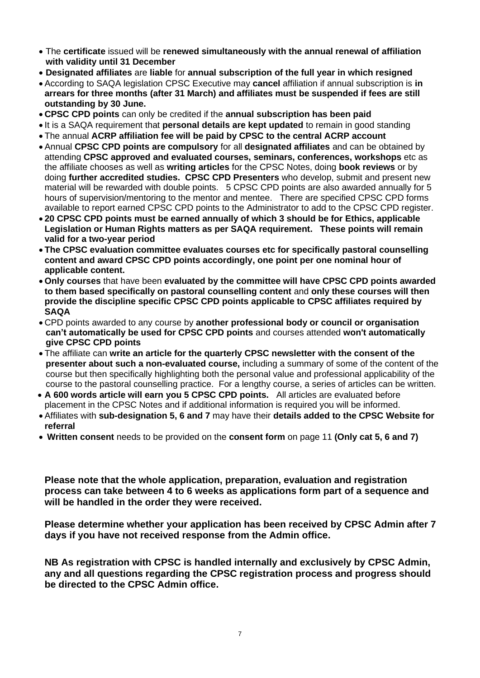- The **certificate** issued will be **renewed simultaneously with the annual renewal of affiliation with validity until 31 December**
- **Designated affiliates** are **liable** for **annual subscription of the full year in which resigned**
- According to SAQA legislation CPSC Executive may **cancel** affiliation if annual subscription is **in arrears for three months (after 31 March) and affiliates must be suspended if fees are still outstanding by 30 June.**
- **CPSC CPD points** can only be credited if the **annual subscription has been paid**
- It is a SAQA requirement that **personal details are kept updated** to remain in good standing
- The annual **ACRP affiliation fee will be paid by CPSC to the central ACRP account**
- Annual **CPSC CPD points are compulsory** for all **designated affiliates** and can be obtained by attending **CPSC approved and evaluated courses, seminars, conferences, workshops** etc as the affiliate chooses as well as **writing articles** for the CPSC Notes, doing **book reviews** or by doing **further accredited studies. CPSC CPD Presenters** who develop, submit and present new material will be rewarded with double points. 5 CPSC CPD points are also awarded annually for 5 hours of supervision/mentoring to the mentor and mentee. There are specified CPSC CPD forms available to report earned CPSC CPD points to the Administrator to add to the CPSC CPD register.
- **20 CPSC CPD points must be earned annually of which 3 should be for Ethics, applicable Legislation or Human Rights matters as per SAQA requirement. These points will remain valid for a two-year period**
- **The CPSC evaluation committee evaluates courses etc for specifically pastoral counselling content and award CPSC CPD points accordingly, one point per one nominal hour of applicable content.**
- **Only courses** that have been **evaluated by the committee will have CPSC CPD points awarded to them based specifically on pastoral counselling content** and **only these courses will then provide the discipline specific CPSC CPD points applicable to CPSC affiliates required by SAQA**
- CPD points awarded to any course by **another professional body or council or organisation can't automatically be used for CPSC CPD points** and courses attended **won't automatically give CPSC CPD points**
- The affiliate can **write an article for the quarterly CPSC newsletter with the consent of the presenter about such a non-evaluated course,** including a summary of some of the content of the course but then specifically highlighting both the personal value and professional applicability of the course to the pastoral counselling practice. For a lengthy course, a series of articles can be written.
- **A 600 words article will earn you 5 CPSC CPD points.** All articles are evaluated before placement in the CPSC Notes and if additional information is required you will be informed.
- Affiliates with **sub-designation 5, 6 and 7** may have their **details added to the CPSC Website for referral**
- **Written consent** needs to be provided on the **consent form** on page 11 **(Only cat 5, 6 and 7)**

**Please note that the whole application, preparation, evaluation and registration process can take between 4 to 6 weeks as applications form part of a sequence and will be handled in the order they were received.**

**Please determine whether your application has been received by CPSC Admin after 7 days if you have not received response from the Admin office.**

**NB As registration with CPSC is handled internally and exclusively by CPSC Admin, any and all questions regarding the CPSC registration process and progress should be directed to the CPSC Admin office.**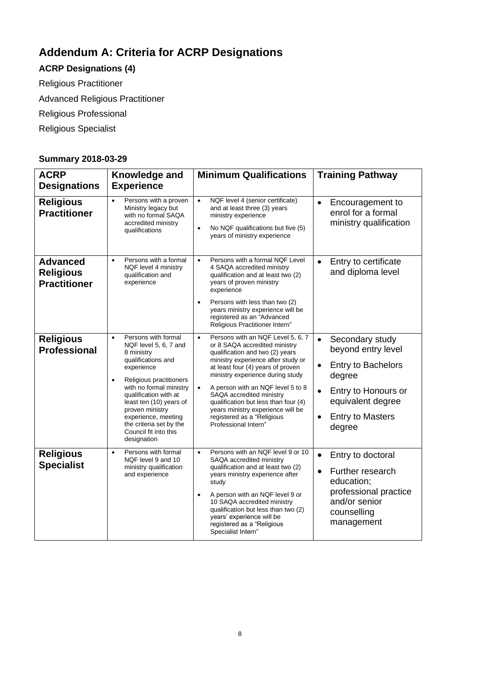# **Addendum A: Criteria for ACRP Designations**

# **ACRP Designations (4)**

Religious Practitioner

Advanced Religious Practitioner

Religious Professional

Religious Specialist

### **Summary 2018-03-29**

| <b>ACRP</b>                                                | Knowledge and                                                                                                                                                                                                                                                                                                                                   | <b>Minimum Qualifications</b>                                                                                                                                                                                                                                                                                                                                                                                                         | <b>Training Pathway</b>                                                                                                                                                          |
|------------------------------------------------------------|-------------------------------------------------------------------------------------------------------------------------------------------------------------------------------------------------------------------------------------------------------------------------------------------------------------------------------------------------|---------------------------------------------------------------------------------------------------------------------------------------------------------------------------------------------------------------------------------------------------------------------------------------------------------------------------------------------------------------------------------------------------------------------------------------|----------------------------------------------------------------------------------------------------------------------------------------------------------------------------------|
| <b>Designations</b>                                        | <b>Experience</b>                                                                                                                                                                                                                                                                                                                               |                                                                                                                                                                                                                                                                                                                                                                                                                                       |                                                                                                                                                                                  |
| <b>Religious</b><br><b>Practitioner</b>                    | Persons with a proven<br>$\bullet$<br>Ministry legacy but<br>with no formal SAQA<br>accredited ministry<br>qualifications                                                                                                                                                                                                                       | NQF level 4 (senior certificate)<br>$\bullet$<br>and at least three (3) years<br>ministry experience<br>No NQF qualifications but five (5)<br>years of ministry experience                                                                                                                                                                                                                                                            | Encouragement to<br>$\bullet$<br>enrol for a formal<br>ministry qualification                                                                                                    |
| <b>Advanced</b><br><b>Religious</b><br><b>Practitioner</b> | Persons with a formal<br>$\bullet$<br>NQF level 4 ministry<br>qualification and<br>experience                                                                                                                                                                                                                                                   | Persons with a formal NQF Level<br>$\bullet$<br>4 SAQA accredited ministry<br>qualification and at least two (2)<br>years of proven ministry<br>experience<br>Persons with less than two (2)<br>years ministry experience will be<br>registered as an "Advanced<br>Religious Practitioner Intern"                                                                                                                                     | Entry to certificate<br>$\bullet$<br>and diploma level                                                                                                                           |
| <b>Religious</b><br><b>Professional</b>                    | Persons with formal<br>$\bullet$<br>NQF level 5, 6, 7 and<br>8 ministry<br>qualifications and<br>experience<br>Religious practitioners<br>$\bullet$<br>with no formal ministry<br>qualification with at<br>least ten (10) years of<br>proven ministry<br>experience, meeting<br>the criteria set by the<br>Council fit into this<br>designation | Persons with an NQF Level 5, 6, 7<br>$\bullet$<br>or 8 SAQA accredited ministry<br>qualification and two (2) years<br>ministry experience after study or<br>at least four (4) years of proven<br>ministry experience during study<br>A person with an NQF level 5 to 8<br>SAQA accredited ministry<br>qualification but less than four (4)<br>years ministry experience will be<br>registered as a "Religious<br>Professional Intern" | Secondary study<br>$\bullet$<br>beyond entry level<br>Entry to Bachelors<br>degree<br>Entry to Honours or<br>equivalent degree<br><b>Entry to Masters</b><br>$\bullet$<br>degree |
| <b>Religious</b><br><b>Specialist</b>                      | Persons with formal<br>$\bullet$<br>NQF level 9 and 10<br>ministry qualification<br>and experience                                                                                                                                                                                                                                              | Persons with an NQF level 9 or 10<br>$\bullet$<br>SAQA accredited ministry<br>qualification and at least two (2)<br>years ministry experience after<br>study<br>A person with an NQF level 9 or<br>10 SAQA accredited ministry<br>qualification but less than two (2)<br>years' experience will be<br>registered as a "Religious<br>Specialist Intern"                                                                                | Entry to doctoral<br>Further research<br>education;<br>professional practice<br>and/or senior<br>counselling<br>management                                                       |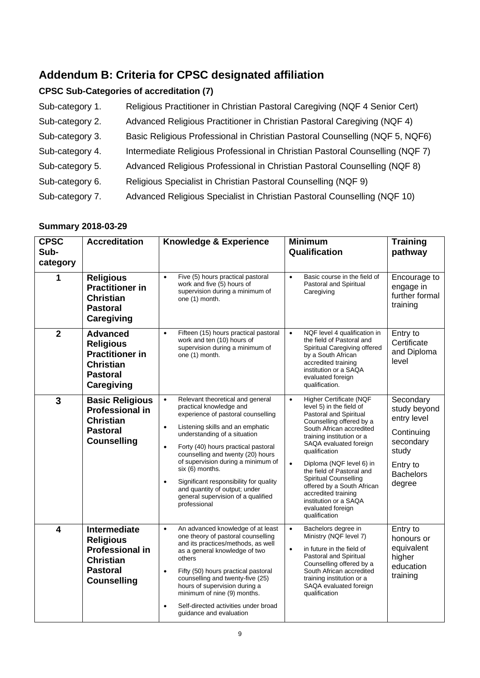# **Addendum B: Criteria for CPSC designated affiliation**

### **CPSC Sub-Categories of accreditation (7)**

| Sub-category 1. | Religious Practitioner in Christian Pastoral Caregiving (NQF 4 Senior Cert)   |
|-----------------|-------------------------------------------------------------------------------|
| Sub-category 2. | Advanced Religious Practitioner in Christian Pastoral Caregiving (NQF 4)      |
| Sub-category 3. | Basic Religious Professional in Christian Pastoral Counselling (NQF 5, NQF6)  |
| Sub-category 4. | Intermediate Religious Professional in Christian Pastoral Counselling (NQF 7) |
| Sub-category 5. | Advanced Religious Professional in Christian Pastoral Counselling (NQF 8)     |
| Sub-category 6. | Religious Specialist in Christian Pastoral Counselling (NQF 9)                |
| Sub-category 7. | Advanced Religious Specialist in Christian Pastoral Counselling (NQF 10)      |

### **Summary 2018-03-29**

| <b>CPSC</b><br>Sub-<br>category | <b>Accreditation</b>                                                                                                           | <b>Knowledge &amp; Experience</b>                                                                                                                                                                                                                                                                                                                                                                                                                                                               | <b>Minimum</b><br>Qualification                                                                                                                                                                                                                                                                                                                                                                                                                             | <b>Training</b><br>pathway                                                                                             |
|---------------------------------|--------------------------------------------------------------------------------------------------------------------------------|-------------------------------------------------------------------------------------------------------------------------------------------------------------------------------------------------------------------------------------------------------------------------------------------------------------------------------------------------------------------------------------------------------------------------------------------------------------------------------------------------|-------------------------------------------------------------------------------------------------------------------------------------------------------------------------------------------------------------------------------------------------------------------------------------------------------------------------------------------------------------------------------------------------------------------------------------------------------------|------------------------------------------------------------------------------------------------------------------------|
| 1                               | <b>Religious</b><br><b>Practitioner in</b><br><b>Christian</b><br><b>Pastoral</b><br>Caregiving                                | Five (5) hours practical pastoral<br>$\bullet$<br>work and five (5) hours of<br>supervision during a minimum of<br>one (1) month.                                                                                                                                                                                                                                                                                                                                                               | Basic course in the field of<br>$\bullet$<br>Pastoral and Spiritual<br>Caregiving                                                                                                                                                                                                                                                                                                                                                                           | Encourage to<br>engage in<br>further formal<br>training                                                                |
| $\overline{2}$                  | <b>Advanced</b><br><b>Religious</b><br><b>Practitioner in</b><br><b>Christian</b><br><b>Pastoral</b><br>Caregiving             | Fifteen (15) hours practical pastoral<br>$\bullet$<br>work and ten (10) hours of<br>supervision during a minimum of<br>one (1) month.                                                                                                                                                                                                                                                                                                                                                           | NQF level 4 qualification in<br>$\bullet$<br>the field of Pastoral and<br>Spiritual Caregiving offered<br>by a South African<br>accredited training<br>institution or a SAQA<br>evaluated foreign<br>qualification.                                                                                                                                                                                                                                         | Entry to<br>Certificate<br>and Diploma<br>level                                                                        |
| $\overline{3}$                  | <b>Basic Religious</b><br><b>Professional in</b><br><b>Christian</b><br><b>Pastoral</b><br><b>Counselling</b>                  | Relevant theoretical and general<br>$\bullet$<br>practical knowledge and<br>experience of pastoral counselling<br>Listening skills and an emphatic<br>$\bullet$<br>understanding of a situation<br>Forty (40) hours practical pastoral<br>$\bullet$<br>counselling and twenty (20) hours<br>of supervision during a minimum of<br>six (6) months.<br>Significant responsibility for quality<br>$\bullet$<br>and quantity of output; under<br>general supervision of a qualified<br>professional | <b>Higher Certificate (NQF</b><br>$\bullet$<br>level 5) in the field of<br>Pastoral and Spiritual<br>Counselling offered by a<br>South African accredited<br>training institution or a<br>SAQA evaluated foreign<br>qualification<br>Diploma (NQF level 6) in<br>$\bullet$<br>the field of Pastoral and<br><b>Spiritual Counselling</b><br>offered by a South African<br>accredited training<br>institution or a SAQA<br>evaluated foreign<br>qualification | Secondary<br>study beyond<br>entry level<br>Continuing<br>secondary<br>study<br>Entry to<br><b>Bachelors</b><br>degree |
| $\overline{\mathbf{4}}$         | <b>Intermediate</b><br><b>Religious</b><br><b>Professional in</b><br><b>Christian</b><br><b>Pastoral</b><br><b>Counselling</b> | An advanced knowledge of at least<br>$\bullet$<br>one theory of pastoral counselling<br>and its practices/methods, as well<br>as a general knowledge of two<br>others<br>Fifty (50) hours practical pastoral<br>$\bullet$<br>counselling and twenty-five (25)<br>hours of supervision during a<br>minimum of nine (9) months.<br>Self-directed activities under broad<br>guidance and evaluation                                                                                                | Bachelors degree in<br>$\bullet$<br>Ministry (NQF level 7)<br>in future in the field of<br>$\bullet$<br>Pastoral and Spiritual<br>Counselling offered by a<br>South African accredited<br>training institution or a<br>SAQA evaluated foreign<br>qualification                                                                                                                                                                                              | Entry to<br>honours or<br>equivalent<br>higher<br>education<br>training                                                |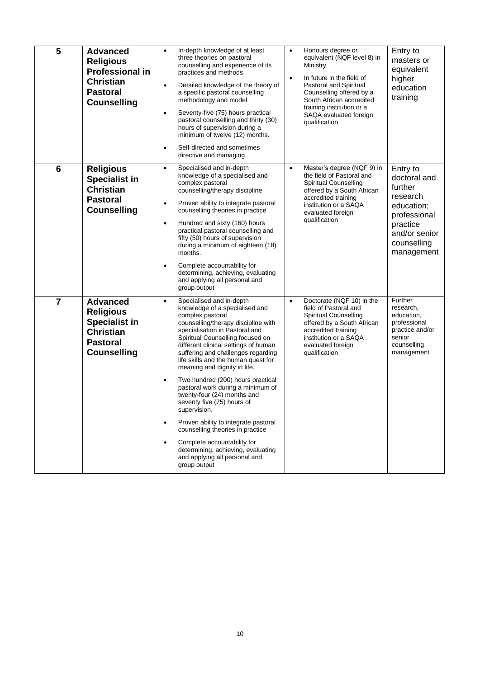| 5               | <b>Advanced</b><br><b>Religious</b><br><b>Professional in</b><br><b>Christian</b><br><b>Pastoral</b><br><b>Counselling</b> | $\bullet$<br>$\bullet$<br>$\bullet$<br>$\bullet$ | In-depth knowledge of at least<br>three theories on pastoral<br>counselling and experience of its<br>practices and methods<br>Detailed knowledge of the theory of<br>a specific pastoral counselling<br>methodology and model<br>Seventy-five (75) hours practical<br>pastoral counselling and thirty (30)<br>hours of supervision during a<br>minimum of twelve (12) months.<br>Self-directed and sometimes<br>directive and managing                                                                                                                                                                                                                                                                    | $\bullet$<br>$\bullet$ | Honours degree or<br>equivalent (NQF level 8) in<br>Ministry<br>In future in the field of<br>Pastoral and Spiritual<br>Counselling offered by a<br>South African accredited<br>training institution or a<br>SAQA evaluated foreign<br>qualification | Entry to<br>masters or<br>equivalent<br>higher<br>education<br>training                                                                 |
|-----------------|----------------------------------------------------------------------------------------------------------------------------|--------------------------------------------------|-----------------------------------------------------------------------------------------------------------------------------------------------------------------------------------------------------------------------------------------------------------------------------------------------------------------------------------------------------------------------------------------------------------------------------------------------------------------------------------------------------------------------------------------------------------------------------------------------------------------------------------------------------------------------------------------------------------|------------------------|-----------------------------------------------------------------------------------------------------------------------------------------------------------------------------------------------------------------------------------------------------|-----------------------------------------------------------------------------------------------------------------------------------------|
| $6\phantom{1}6$ | <b>Religious</b><br><b>Specialist in</b><br><b>Christian</b><br><b>Pastoral</b><br><b>Counselling</b>                      | $\bullet$<br>$\bullet$<br>$\bullet$<br>$\bullet$ | Specialised and in-depth<br>knowledge of a specialised and<br>complex pastoral<br>counselling/therapy discipline<br>Proven ability to integrate pastoral<br>counselling theories in practice<br>Hundred and sixty (160) hours<br>practical pastoral counselling and<br>fifty (50) hours of supervision<br>during a minimum of eighteen (18)<br>months.<br>Complete accountability for<br>determining, achieving, evaluating<br>and applying all personal and<br>group output                                                                                                                                                                                                                              | $\bullet$              | Master's degree (NQF 9) in<br>the field of Pastoral and<br>Spiritual Counselling<br>offered by a South African<br>accredited training<br>institution or a SAQA<br>evaluated foreign<br>qualification                                                | Entry to<br>doctoral and<br>further<br>research<br>education;<br>professional<br>practice<br>and/or senior<br>counselling<br>management |
| $\overline{7}$  | <b>Advanced</b><br><b>Religious</b><br><b>Specialist in</b><br><b>Christian</b><br><b>Pastoral</b><br><b>Counselling</b>   | $\bullet$<br>$\bullet$<br>$\bullet$<br>$\bullet$ | Specialised and in-depth<br>knowledge of a specialised and<br>complex pastoral<br>counselling/therapy discipline with<br>specialisation in Pastoral and<br>Spiritual Counselling focused on<br>different clinical settings of human<br>suffering and challenges regarding<br>life skills and the human quest for<br>meaning and dignity in life.<br>Two hundred (200) hours practical<br>pastoral work during a minimum of<br>twenty-four (24) months and<br>seventy five (75) hours of<br>supervision.<br>Proven ability to integrate pastoral<br>counselling theories in practice<br>Complete accountability for<br>determining, achieving, evaluating<br>and applying all personal and<br>group output | $\bullet$              | Doctorate (NQF 10) in the<br>field of Pastoral and<br><b>Spiritual Counselling</b><br>offered by a South African<br>accredited training<br>institution or a SAQA<br>evaluated foreign<br>qualification                                              | Further<br>research,<br>education,<br>professional<br>practice and/or<br>senior<br>counselling<br>management                            |